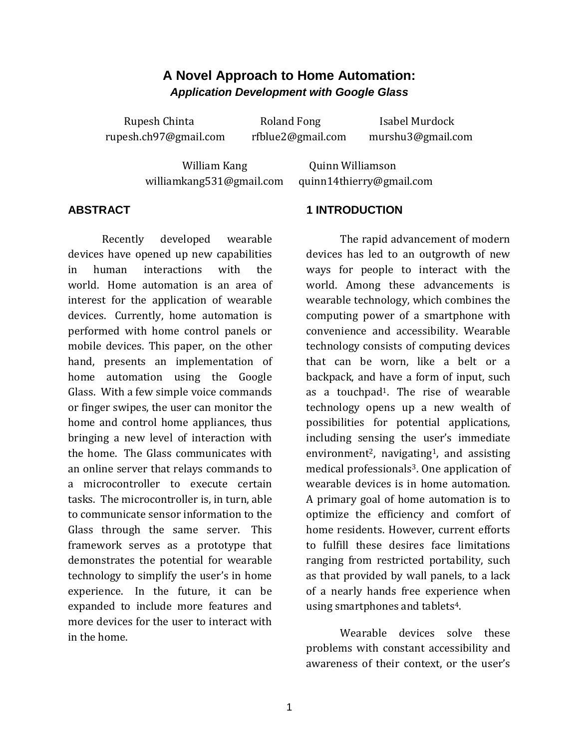# **A Novel Approach to Home Automation:** *Application Development with Google Glass*

Rupesh Chinta **Roland Fong** Isabel Murdock rupesh.ch97@gmail.com rfblue2@gmail.com murshu3@gmail.com

William Kang **Quinn Williamson** williamkang531@gmail.com quinn14thierry@gmail.com

### **ABSTRACT**

Recently developed wearable devices have opened up new capabilities in human interactions with the world. Home automation is an area of interest for the application of wearable devices. Currently, home automation is performed with home control panels or mobile devices. This paper, on the other hand, presents an implementation of home automation using the Google Glass. With a few simple voice commands or finger swipes, the user can monitor the home and control home appliances, thus bringing a new level of interaction with the home. The Glass communicates with an online server that relays commands to a microcontroller to execute certain tasks. The microcontroller is, in turn, able to communicate sensor information to the Glass through the same server. This framework serves as a prototype that demonstrates the potential for wearable technology to simplify the user's in home experience. In the future, it can be expanded to include more features and more devices for the user to interact with in the home.

### **1 INTRODUCTION**

The rapid advancement of modern devices has led to an outgrowth of new ways for people to interact with the world. Among these advancements is wearable technology, which combines the computing power of a smartphone with convenience and accessibility. Wearable technology consists of computing devices that can be worn, like a belt or a backpack, and have a form of input, such as a touchpad1. The rise of wearable technology opens up a new wealth of possibilities for potential applications, including sensing the user's immediate environment<sup>2</sup>, navigating<sup>1</sup>, and assisting medical professionals<sup>3</sup>. One application of wearable devices is in home automation. A primary goal of home automation is to optimize the efficiency and comfort of home residents. However, current efforts to fulfill these desires face limitations ranging from restricted portability, such as that provided by wall panels, to a lack of a nearly hands free experience when using smartphones and tablets<sup>4</sup>.

Wearable devices solve these problems with constant accessibility and awareness of their context, or the user's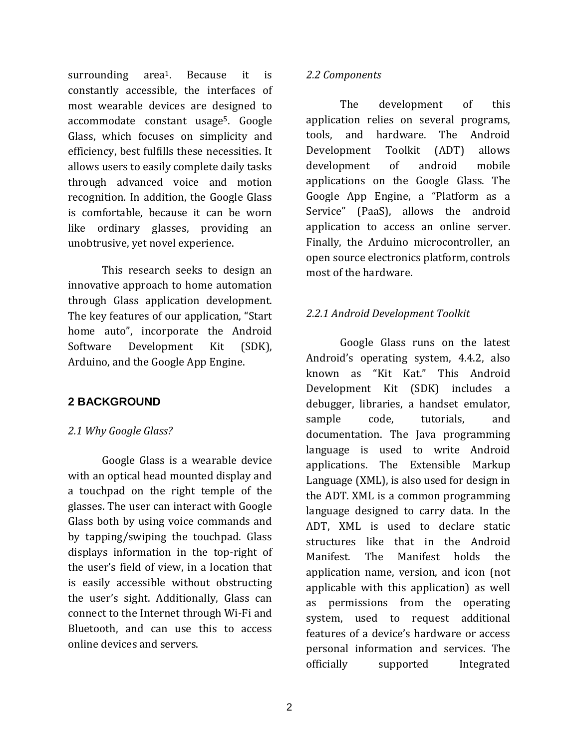surrounding area1. Because it is constantly accessible, the interfaces of most wearable devices are designed to accommodate constant usage5. Google Glass, which focuses on simplicity and efficiency, best fulfills these necessities. It allows users to easily complete daily tasks through advanced voice and motion recognition. In addition, the Google Glass is comfortable, because it can be worn like ordinary glasses, providing an unobtrusive, yet novel experience.

This research seeks to design an innovative approach to home automation through Glass application development. The key features of our application, "Start home auto", incorporate the Android Software Development Kit (SDK), Arduino, and the Google App Engine.

# **2 BACKGROUND**

# *2.1 Why Google Glass?*

Google Glass is a wearable device with an optical head mounted display and a touchpad on the right temple of the glasses. The user can interact with Google Glass both by using voice commands and by tapping/swiping the touchpad. Glass displays information in the top-right of the user's field of view, in a location that is easily accessible without obstructing the user's sight. Additionally, Glass can connect to the Internet through Wi-Fi and Bluetooth, and can use this to access online devices and servers.

### *2.2 Components*

The development of this application relies on several programs, tools, and hardware. The Android Development Toolkit (ADT) allows development of android mobile applications on the Google Glass. The Google App Engine, a "Platform as a Service" (PaaS), allows the android application to access an online server. Finally, the Arduino microcontroller, an open source electronics platform, controls most of the hardware.

# *2.2.1 Android Development Toolkit*

Google Glass runs on the latest Android's operating system, 4.4.2, also known as "Kit Kat." This Android Development Kit (SDK) includes a debugger, libraries, a handset emulator, sample code, tutorials, and documentation. The Java programming language is used to write Android applications. The Extensible Markup Language (XML), is also used for design in the ADT. XML is a common programming language designed to carry data. In the ADT, XML is used to declare static structures like that in the Android Manifest. The Manifest holds the application name, version, and icon (not applicable with this application) as well as permissions from the operating system, used to request additional features of a device's hardware or access personal information and services. The officially supported Integrated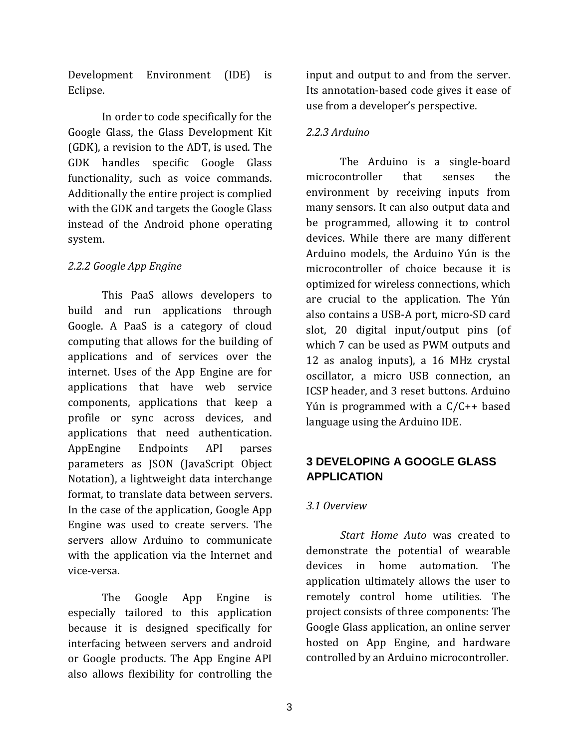Development Environment (IDE) is Eclipse.

In order to code specifically for the Google Glass, the Glass Development Kit (GDK), a revision to the ADT, is used. The GDK handles specific Google Glass functionality, such as voice commands. Additionally the entire project is complied with the GDK and targets the Google Glass instead of the Android phone operating system.

# *2.2.2 Google App Engine*

This PaaS allows developers to build and run applications through Google. A PaaS is a category of cloud computing that allows for the building of applications and of services over the internet. Uses of the App Engine are for applications that have web service components, applications that keep a profile or sync across devices, and applications that need authentication. AppEngine Endpoints API parses parameters as JSON (JavaScript Object Notation), a lightweight data interchange format, to translate data between servers. In the case of the application, Google App Engine was used to create servers. The servers allow Arduino to communicate with the application via the Internet and vice-versa.

The Google App Engine is especially tailored to this application because it is designed specifically for interfacing between servers and android or Google products. The App Engine API also allows flexibility for controlling the

input and output to and from the server. Its annotation-based code gives it ease of use from a developer's perspective.

### *2.2.3 Arduino*

The Arduino is a single-board microcontroller that senses the environment by receiving inputs from many sensors. It can also output data and be programmed, allowing it to control devices. While there are many different Arduino models, the Arduino Yún is the microcontroller of choice because it is optimized for wireless connections, which are crucial to the application. The Yún also contains a USB-A port, micro-SD card slot, 20 digital input/output pins (of which 7 can be used as PWM outputs and 12 as analog inputs), a 16 MHz crystal oscillator, a micro USB connection, an ICSP header, and 3 reset buttons. Arduino Yún is programmed with a C/C++ based language using the Arduino IDE.

# **3 DEVELOPING A GOOGLE GLASS APPLICATION**

### *3.1 Overview*

*Start Home Auto* was created to demonstrate the potential of wearable devices in home automation. The application ultimately allows the user to remotely control home utilities. The project consists of three components: The Google Glass application, an online server hosted on App Engine, and hardware controlled by an Arduino microcontroller.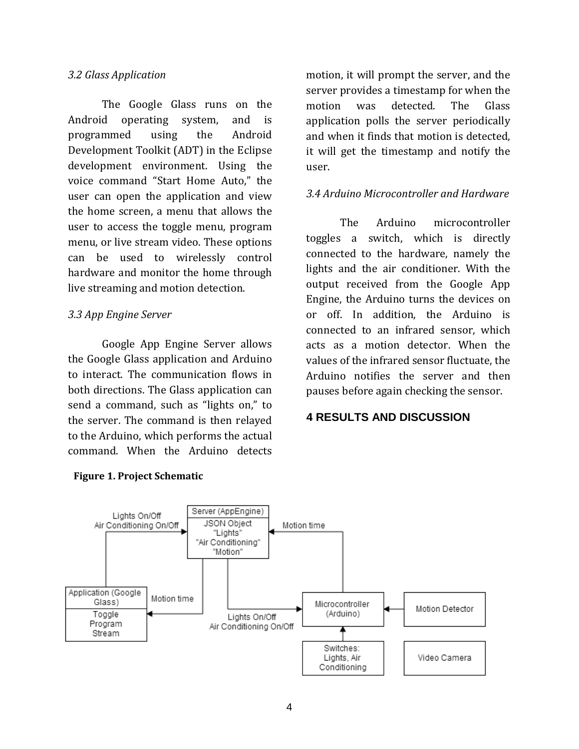#### *3.2 Glass Application*

The Google Glass runs on the Android operating system, and is programmed using the Android Development Toolkit (ADT) in the Eclipse development environment. Using the voice command "Start Home Auto," the user can open the application and view the home screen, a menu that allows the user to access the toggle menu, program menu, or live stream video. These options can be used to wirelessly control hardware and monitor the home through live streaming and motion detection.

### *3.3 App Engine Server*

Google App Engine Server allows the Google Glass application and Arduino to interact. The communication flows in both directions. The Glass application can send a command, such as "lights on," to the server. The command is then relayed to the Arduino, which performs the actual command. When the Arduino detects

motion, it will prompt the server, and the server provides a timestamp for when the motion was detected. The Glass application polls the server periodically and when it finds that motion is detected, it will get the timestamp and notify the user.

#### *3.4 Arduino Microcontroller and Hardware*

The Arduino microcontroller toggles a switch, which is directly connected to the hardware, namely the lights and the air conditioner. With the output received from the Google App Engine, the Arduino turns the devices on or off. In addition, the Arduino is connected to an infrared sensor, which acts as a motion detector. When the values of the infrared sensor fluctuate, the Arduino notifies the server and then pauses before again checking the sensor.

#### **4 RESULTS AND DISCUSSION**



#### **Figure 1. Project Schematic**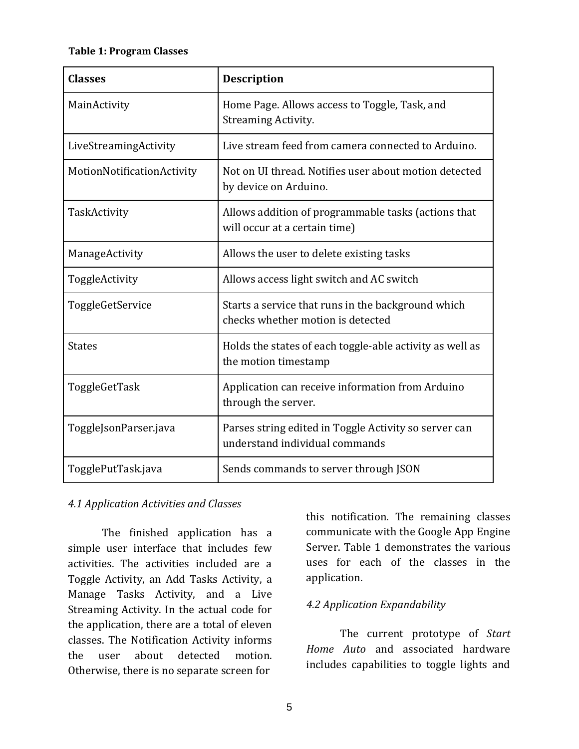#### **Table 1: Program Classes**

| <b>Classes</b>             | <b>Description</b>                                                                      |
|----------------------------|-----------------------------------------------------------------------------------------|
| MainActivity               | Home Page. Allows access to Toggle, Task, and<br><b>Streaming Activity.</b>             |
| LiveStreamingActivity      | Live stream feed from camera connected to Arduino.                                      |
| MotionNotificationActivity | Not on UI thread. Notifies user about motion detected<br>by device on Arduino.          |
| TaskActivity               | Allows addition of programmable tasks (actions that<br>will occur at a certain time)    |
| ManageActivity             | Allows the user to delete existing tasks                                                |
| ToggleActivity             | Allows access light switch and AC switch                                                |
| ToggleGetService           | Starts a service that runs in the background which<br>checks whether motion is detected |
| <b>States</b>              | Holds the states of each toggle-able activity as well as<br>the motion timestamp        |
| ToggleGetTask              | Application can receive information from Arduino<br>through the server.                 |
| ToggleJsonParser.java      | Parses string edited in Toggle Activity so server can<br>understand individual commands |
| TogglePutTask.java         | Sends commands to server through JSON                                                   |

### *4.1 Application Activities and Classes*

The finished application has a simple user interface that includes few activities. The activities included are a Toggle Activity, an Add Tasks Activity, a Manage Tasks Activity, and a Live Streaming Activity. In the actual code for the application, there are a total of eleven classes. The Notification Activity informs the user about detected motion. Otherwise, there is no separate screen for

this notification. The remaining classes communicate with the Google App Engine Server. Table 1 demonstrates the various uses for each of the classes in the application.

# *4.2 Application Expandability*

The current prototype of *Start Home Auto* and associated hardware includes capabilities to toggle lights and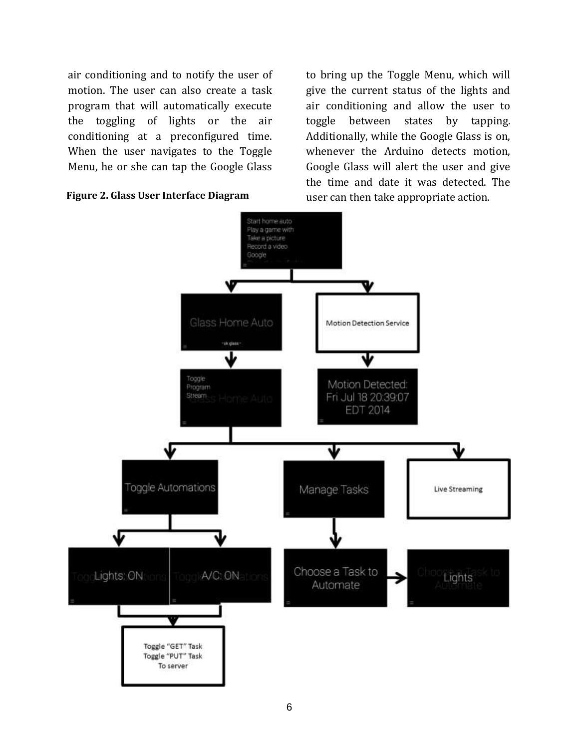air conditioning and to notify the user of motion. The user can also create a task program that will automatically execute the toggling of lights or the air conditioning at a preconfigured time. When the user navigates to the Toggle Menu, he or she can tap the Google Glass



to bring up the Toggle Menu, which will give the current status of the lights and air conditioning and allow the user to toggle between states by tapping. Additionally, while the Google Glass is on, whenever the Arduino detects motion, Google Glass will alert the user and give the time and date it was detected. The

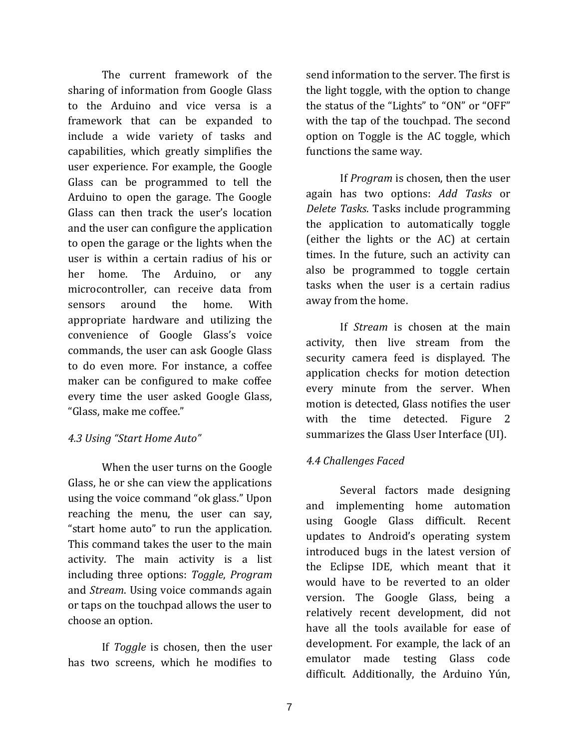The current framework of the sharing of information from Google Glass to the Arduino and vice versa is a framework that can be expanded to include a wide variety of tasks and capabilities, which greatly simplifies the user experience. For example, the Google Glass can be programmed to tell the Arduino to open the garage. The Google Glass can then track the user's location and the user can configure the application to open the garage or the lights when the user is within a certain radius of his or her home. The Arduino, or any microcontroller, can receive data from sensors around the home. With appropriate hardware and utilizing the convenience of Google Glass's voice commands, the user can ask Google Glass to do even more. For instance, a coffee maker can be configured to make coffee every time the user asked Google Glass, "Glass, make me coffee."

# *4.3 Using "Start Home Auto"*

When the user turns on the Google Glass, he or she can view the applications using the voice command "ok glass." Upon reaching the menu, the user can say, "start home auto" to run the application. This command takes the user to the main activity. The main activity is a list including three options: *Toggle*, *Program*  and *Stream*. Using voice commands again or taps on the touchpad allows the user to choose an option.

If *Toggle* is chosen, then the user has two screens, which he modifies to

send information to the server. The first is the light toggle, with the option to change the status of the "Lights" to "ON" or "OFF" with the tap of the touchpad. The second option on Toggle is the AC toggle, which functions the same way.

If *Program* is chosen, then the user again has two options: *Add Tasks* or *Delete Tasks*. Tasks include programming the application to automatically toggle (either the lights or the AC) at certain times. In the future, such an activity can also be programmed to toggle certain tasks when the user is a certain radius away from the home.

If *Stream* is chosen at the main activity, then live stream from the security camera feed is displayed. The application checks for motion detection every minute from the server. When motion is detected, Glass notifies the user with the time detected. Figure 2 summarizes the Glass User Interface (UI).

# *4.4 Challenges Faced*

Several factors made designing and implementing home automation using Google Glass difficult. Recent updates to Android's operating system introduced bugs in the latest version of the Eclipse IDE, which meant that it would have to be reverted to an older version. The Google Glass, being a relatively recent development, did not have all the tools available for ease of development. For example, the lack of an emulator made testing Glass code difficult. Additionally, the Arduino Yún,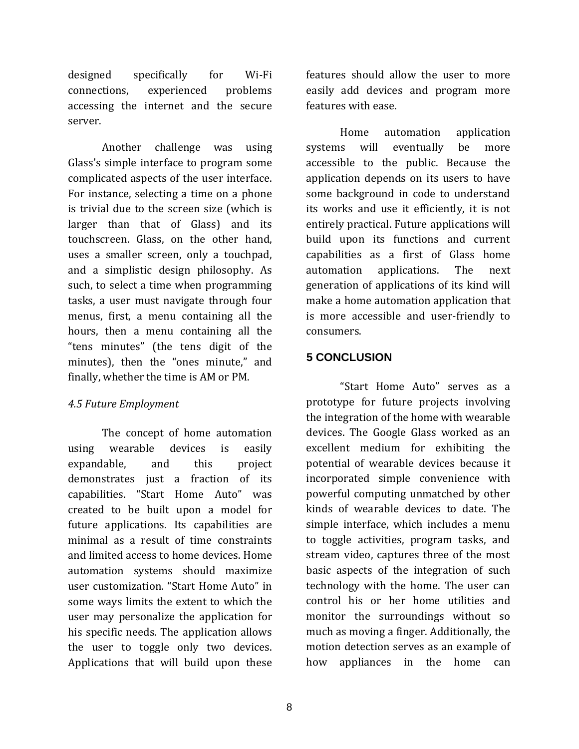designed specifically for Wi-Fi connections, experienced problems accessing the internet and the secure server.

Another challenge was using Glass's simple interface to program some complicated aspects of the user interface. For instance, selecting a time on a phone is trivial due to the screen size (which is larger than that of Glass) and its touchscreen. Glass, on the other hand, uses a smaller screen, only a touchpad, and a simplistic design philosophy. As such, to select a time when programming tasks, a user must navigate through four menus, first, a menu containing all the hours, then a menu containing all the "tens minutes" (the tens digit of the minutes), then the "ones minute," and finally, whether the time is AM or PM.

# *4.5 Future Employment*

The concept of home automation using wearable devices is easily expandable, and this project demonstrates just a fraction of its capabilities. "Start Home Auto" was created to be built upon a model for future applications. Its capabilities are minimal as a result of time constraints and limited access to home devices. Home automation systems should maximize user customization. "Start Home Auto" in some ways limits the extent to which the user may personalize the application for his specific needs. The application allows the user to toggle only two devices. Applications that will build upon these

features should allow the user to more easily add devices and program more features with ease.

Home automation application systems will eventually be more accessible to the public. Because the application depends on its users to have some background in code to understand its works and use it efficiently, it is not entirely practical. Future applications will build upon its functions and current capabilities as a first of Glass home automation applications. The next generation of applications of its kind will make a home automation application that is more accessible and user-friendly to consumers.

# **5 CONCLUSION**

"Start Home Auto" serves as a prototype for future projects involving the integration of the home with wearable devices. The Google Glass worked as an excellent medium for exhibiting the potential of wearable devices because it incorporated simple convenience with powerful computing unmatched by other kinds of wearable devices to date. The simple interface, which includes a menu to toggle activities, program tasks, and stream video, captures three of the most basic aspects of the integration of such technology with the home. The user can control his or her home utilities and monitor the surroundings without so much as moving a finger. Additionally, the motion detection serves as an example of how appliances in the home can